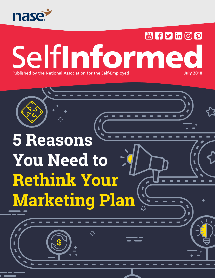

### **Min G D** in G D SelfInformed **July 2018**Published by the National Association for the Self-Employed

# **5 Reasons You Need to Rethink Your Marketing Plan**

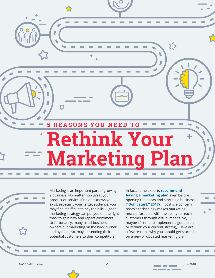**5 REASONS YOU NEED TO Rethink Your Marketing Plan**

53

Marketing is an important part of growing a business. No matter how great your product or service, if no one knows you exist, especially your target audience, you may find it difficult to pay the bills. A good marketing strategy can put you on the right track to gain new and repeat customers. Unfortunately, many small business owners put marketing on the back burner, and by doing so, may be sending their potential customers to their competitors.

In fact, some experts **[recommend](http://www.information-age.com/dont-start-small-business-without-marketing-plan-123469339/)  [having a marketing plan](http://www.information-age.com/dont-start-small-business-without-marketing-plan-123469339/)** even before opening the doors and starting a business (**["Don't start," 2017](http://www.information-age.com/dont-start-small-business-without-marketing-plan-123469339/)**). If cost is a concern, today's technology makes marketing more affordable with the ability to reach customers through virtual means. So, maybe it's time to implement a good plan or rethink your current strategy. Here are a few reasons why you should get started on a new or updated marketing plan.

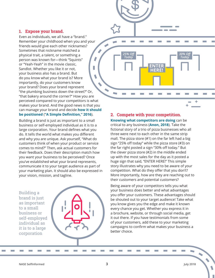#### **1. Expose your brand.**

Even as individuals, we all have a "brand." Remember your childhood when you and your friends would give each other nicknames? Sometimes that nickname matched a physical trait, a talent, or something a person was known for—think "Squints" or "Yeah-Yeah" in the movie classic, Ī Sandlot. Whether you like it or not, your business also has a brand. But do you know what your brand is? More importantly, do your customers know your brand? Does your brand represent "the plumbing business down the street?" Or, "that bakery around the corner?" How you are perceived compared to your competitors is what makes your brand. And the good news is that you can manage your brand and decide **[how it should](https://www.thebrandingjournal.com/2016/11/brand-positioning-definition/)  [be positioned](https://www.thebrandingjournal.com/2016/11/brand-positioning-definition/)** (**["A Simple Definition," 2016](http://www.thebrandingjournal.com/2016/11/brand-positioning-definition/)**).

Building a brand is just as important to a small business or self-employed individual as it is to a large corporation. Your brand defines what you do. It tells the world what makes you different and why you are unique. Ask yourself, "What do customers think of when your product or service comes to mind?" Then, ask actual customers for their feedback. Does their description match how you want your business to be perceived? Once you've established what your brand represents, communicate it to your target audience as part of your marketing plan. It should also be expressed in your vision, mission, and tagline.

Building a brand is just as important to a small business or self-employed individual as it is to a large corporation



#### **2. Compete with your competition.**

*25% Off Today*

 $\overline{\phantom{a}}$ 

**[Knowing what competitors are doing](https://www.bizjournals.com/bizjournals/how-to/growth-strategies/2016/05/6-advantages-to-knowing-your-competition.html)** can be critical to any business (**[Anon, 2018](https://www.bizjournals.com/bizjournals/how-to/growth-strategies/2016/05/6-advantages-to-knowing-your-competition.html)**). Take the fictional story of a trio of pizza businesses who all three were next to each other in the same strip mall. The pizza store (#1) on the far left had a big sign "25% off today" while the pizza store (#3) on the far right posted a sign "30% off today." But the clever pizza store (#2) in the middle ended up with the most sales for the day as it posted a huge sign that said, "ENTER HERE!" This simple story illustrates why you need to be aware of your competition. What do they offer that you don't? More importantly, how are they are reaching out to their customers and potential customers?

**ENTER HERE!**

Being aware of your competitors tells you what your business does better and what advantages you offer your customers. These advantages should be shouted out to your target audience! Take what you know gives you the edge and make it known every chance you get. Whether you express it in a brochure, website, or through social media, get it out there. If you have testimonials from some of your customers, add these to your marketing campaigns to confirm what makes your business a better choice.

*30% Off Today*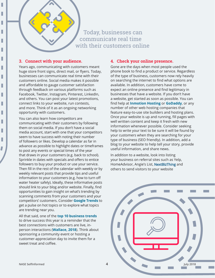#### Today, businesses can communicate real time with their customers online

#### **3. Connect with your audience.**

I

L

I

I

L

L

L

L

L

L

I

L

L

L

Years ago, communicating with customers meant huge store front signs, direct mail, or flyers. Today, businesses can communicate real time with their customers online. Social media makes it possible and affordable to gauge customer satisfaction through feedback on various platforms such as Facebook, Twitter, Instagram, Pinterest, LinkedIn, and others. You can post your latest promotions, connect links to your website, run contests, and more. Think of it as an ongoing networking opportunity with customers.

You can also learn how competitors are communicating with their customers by following them on social media. If you don't have a social media account, start with one that your competitors seem to have success with noting their number of followers or likes. Develop a calendar as far in advance as possible to highlight dates or timeframes to post any events or special times of the year that draws in your customers (e.g. back to school). Sprinkle in dates with specials and offers to entice followers to buy your product or use your service. Then fill in the rest of the calendar with weekly or by weekly relevant posts that provide tips and useful information to your customers (e.g. how to turn off water heater safely). Ideally, these informative posts should link to your blog and/or website. Finally, find opportunities to gain insight on what's trending by scanning comments from your customers and your competitors' customers. Consider **[Google Trends](https://trends.google.com/trends/?geo=US)** to get a pulse on hot topics or to explore what topics are trending near you.

All that said, one of the **[top 10 business trends](http://infographicjournal.com/top-business-trends-that-will-drive-success-in-2018/)** to drive success this year is a reminder that the best connections with customers are live, inperson interactions (**[Wallace, 2018](http://infographicjournal.com/top-business-trends-that-will-drive-success-in-2018/)**). Think about sponsoring a community event or hosting a customer-appreciation day to invite them for a sweet treat and coffee.

#### **4. Check your online presence.**

Gone are the days when most people used the phone book to find a product or service. Regardless of the type of business, customers now rely heavily on searching the internet to find what options are available. In addition, customers have come to expect an online presence and find legitimacy in businesses that have a website. If you don't have a website, get started as soon as possible. You can find help at **[Inmotion Hosting](https://www.inmotionhosting.com/)** or **[GoDaddy](https://www.godaddy.com/)**, or any number of other web hosting companies that feature easy-to-use site builders and hosting plans. Once your website is up and running, fill pages with well written content and keep it fresh with new information whenever possible. Consider seeking help to write your text to be sure it will be found by your customers when they are searching for your type of business (SEO friendly). In addition, add a blog to your website to help tell your story, provide useful information, and share news.

In addition to a website, look into listing your business on referral sites such as Yelp, HomeAdvisor, Angie's List, [NextBizThing](https://www.nextbizthing.com/) and others to send visitors to your website

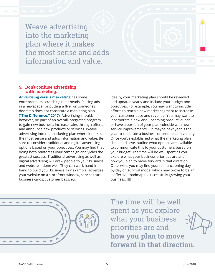Weave advertising into the marketing plan where it makes the most sense and adds information and value.

#### **5. Don't confuse advertising with marketing.**

**[Advertising versus marketing](https://www.inc.com/laurel-mintz/the-difference-between-marketing-and-advertising-a.html)** has some entrepreneurs scratching their heads. Placing ads in a newspaper or putting a flyer on someone's doorstep does not constitute a marketing plan (**["The Difference," 2017](https://www.inc.com/laurel-mintz/the-difference-between-marketing-and-advertising-a.html)**). Advertising should, however, be part of an overall integrated program to gain new business, increase sales through offers, and announce new products or services. Weave advertising into the marketing plan where it makes the most sense and adds information and value. Be sure to consider traditional and digital advertising options based on your objectives. You may find that doing both reinforces your campaign and yields the greatest success. Traditional advertising as well as digital advertising will draw people to your business and website if done well. They can work hand-inhand to build your business. For example, advertise your website on a storefront window, service truck, business cards, customer bags, etc.

Ideally, your marketing plan should be reviewed and updated yearly and include your budget and objectives. For example, you may want to include efforts to reach a new market segment to increase your customer base and revenue. You may want to incorporate a new and upcoming product launch or have a portion of your plan coincide with new service improvements. Or, maybe next year is the year to celebrate a business or product anniversary. Once you've established what the marketing plan should achieve, outline what options are available to communicate this to your customers based on your budget. The time will be well spent as you explore what your business priorities are and how you plan to move forward in that direction. Otherwise, you may find yourself functioning dayby-day on survival mode, which may prove to be an ineffective roadmap to successfully growing your business.



The time will be well spent as you explore what your business priorities are and **how you plan to move forward in that direction.**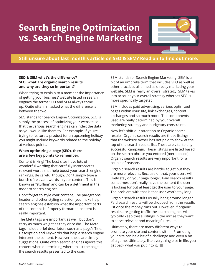### **Search Engine Optimization vs. Search Engine Marketing**



#### **Still unsure about last month's article on SEO & SEM? Read on to find out more.**

#### **SEO & SEM what's the difference? SEO, what are organic search results and why are they so important?**

When trying to explain to a member the importance of getting your business' website listed in search engines the terms SEO and SEM always come up. Quite often I'm asked what the difference is between the two.

SEO stands for Search Engine Optimization. SEO is simply the process of optimizing your website so that the various search engines can index the data as you would like them to. For example, if you're trying to feature a product for an upcoming holiday you might include keywords related to the holiday at various points.

#### **When optimizing a page (SEO), there are a few key points to remember.**

Content is king! The best sites have lots of wonderful wording that carefully incorporates relevant words that help boost your search engine rankings. Be careful though. Don't simply type a bunch of relevant words in your content. This is known as "stuffing" and can be a detriment in the modern search engines.

Don't forget to style your content. The paragraphs, header and other styling selection you make help search engines establish what the important parts of the content is. Properly formatted content is really important.

The Meta tags are important as well, but don't carry as much weight as they once did. The Meta tags include brief descriptors such as a page's Title, Description and Keywords that help a search engine interpret the content. However, these are simply suggestions. Quite often search engines ignore this content when determining where to list the page in the search results presented to the user.

SEM stands for Search Engine Marketing. SEM is a bit of an umbrella term that includes SEO as well as other practices all aimed as directly marketing your website. SEM is really an overall strategy. SEM takes into account your overall strategy whereas SEO is more specifically targeted.

SEM includes paid advertising, various optimized pages within your site, link exchanges, content exchanges and so much more. The components used are really determined by your overall marketing strategy and budgetary constraints.

Now let's shift our attention to Organic search results. Organic search results are those listings that the website owner has not paid to show at the top of the search results list. These are vital to any successful campaign. These listings are listed based on the search phrase you entered (merit based). Organic search results are very important for a couple of reasons.

Organic search results are harder to get but they are more relevant. Because of that, your users will likely stay on your page longer. Paid search results sometimes don't really have the content the user is looking for but at least get the user to your page. The problem with that is that user won't stay long.

Organic search results usually hang around longer. Paid search results will be dropped from the results list once the money runs out. However, if organic results are getting traffic the search engines will typically keep these listings in the mix as they want to serve relevant and meaningful results.

Ultimately, there are many different ways to promote your site and content within. Promoting your site can be a bit of a challenge and even a bit of a game. Ultimately, like everything else in life, you get back what you put into it.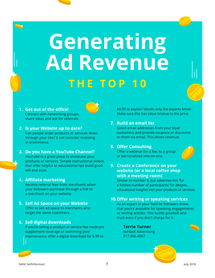# **Generating Ad Revenue THE TOP 10**

- **1. Get out of the office!** Connect with networking groups, share ideas and ask for referrals.
- **2. Is your Website up to date?** Can people order products or services direct through your site? If not consider investing in ecommerce.
- **3. Do you have a YouTube Channel?** YouTube is a great place to showcase your products or services. Simple instructional videos that offer helpful or educational tips build good will and trust.

#### **4. Affiliate marketing**

Receive referral fees from merchants when your followers purchase through a link to a merchant on your website.

**5. Sell Ad Space on your Website** Offer to sell ad space to merchants who target the same customers.

#### **6. Sell digital downloads**

If you're selling a product or service like medicare supplement coverage or swimming pool maintenance, offer a digital download for \$.99 to

\$4.99 to explain 'details only the experts know'. Make sure this has value relative to the price.

#### **7. Build an email list**

Solicit email addresses from your loyal customers and provide coupons or discounts to them via email. This drives revenue.

#### **8. Offer Consulting**

Offer a webinar for a fee, to a group or personalized one-on-one.



**9. Create a Conference on your website (or a local coffee shop with a meeting room)**

Similar to number 8, but advertise this 'for a limited number of participants' for deeper, educational insights into your products or services.

#### **10.Offer writing or speaking services**

As an expert in your field let followers know that you're available for speaking engagements or writing articles. This builds goodwill and trust even if you don't charge for it.

**Terrie Turner** Sunbelt Advertising 817.966.4867

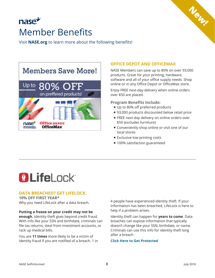### nasez Member Benefits

Visit **[NASE.org](http://www.NASE.org)** to learn more about the following benefits!



#### **[OFFICE DEPOT AND OFFICEMAX](http://officediscounts.org/nase/)**

NASE Members can save up to 80% on over 93,000 products. Great for your printing, hardware, software and all of your office supply needs. Shop online or in any Office Depot or OfficeMax store.

**New!**

Enjoy FREE next-day delivery when online orders over \$50 are placed.

**Program Benefits Include:**

- Up to 80% off preferred products
- 93,000 products discounted below retail price
- **FREE next-day delivery on online orders over** \$50 (excludes furniture)
- **Example 1** Conveniently shop online or visit one of our local stores
- **Exclusive low printing costs**
- 100% satisfaction guaranteed

## **OLifeLock**

#### **DATA BREACHED? GET LIFELOCK.**

**10% OFF FIRST YEAR\*** Why you need LifeLock after a data breach.

#### **Putting a freeze on your credit may not be**

**enough.** Identity theft goes beyond credit fraud. With info like your SSN and birthdate, criminals can file tax returns, steal from investment accounts, or rack up medical bills.

You are **11 times** more likely to be a victim of identity fraud if you are notified of a breach. 1 in 4 people have experienced identity theft. If your information has been breached, LifeLock is here to help if a problem arises.

Identity theft can happen for **years to come**. Data breaches can expose information that typically doesn't change like your SSN, birthdate, or name. Criminals can use this info for identity theft long after a breach

#### **[Click Here to Get Protected](https://www.lifelock.com/lp/idtr-3010drf?promocode=CJ1030RF&UID=7176971&AID=11922325&CID=aff_commissionjunction_7176971_11922325_7176971)**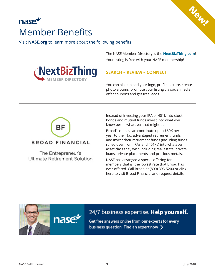### nase Member Benefits

Visit **[NASE.org](http://www.NASE.org)** to learn more about the following benefits!

The NASE Member Directory is the **[NextBizThing.com](https://www.nextbizthing.com/)**! Your listing is free with your NASE membership!

 $N_{\odot_{N_{\ell}}}$ 



#### **SEARCH – REVIEW – CONNECT**

You can also upload your logo, profile picture, create photo albums, promote your listing via social media, offer coupons and get free leads.



The Entrepreneur's Ultimate Retirement Solution

nase

Instead of investing your IRA or 401k into stock bonds and mutual funds invest into what you know best – whatever that might be.

Broad's clients can contribute up to \$60K per year to their tax advantaged retirement funds and invest their retirement funds (including funds rolled over from IRAs and 401ks) into whatever asset class they wish including real estate, private loans, private placements and precious metals.

NASE has arranged a special offering for members that is, the lowest rate that Broad has ever offered. Call Broad at (800) 395-5200 or click here to visit Broad Financial and request details.

#### 24/7 business expertise. Help yourself.

Get free answers online from our experts for every business question. Find an expert now  $\sum$